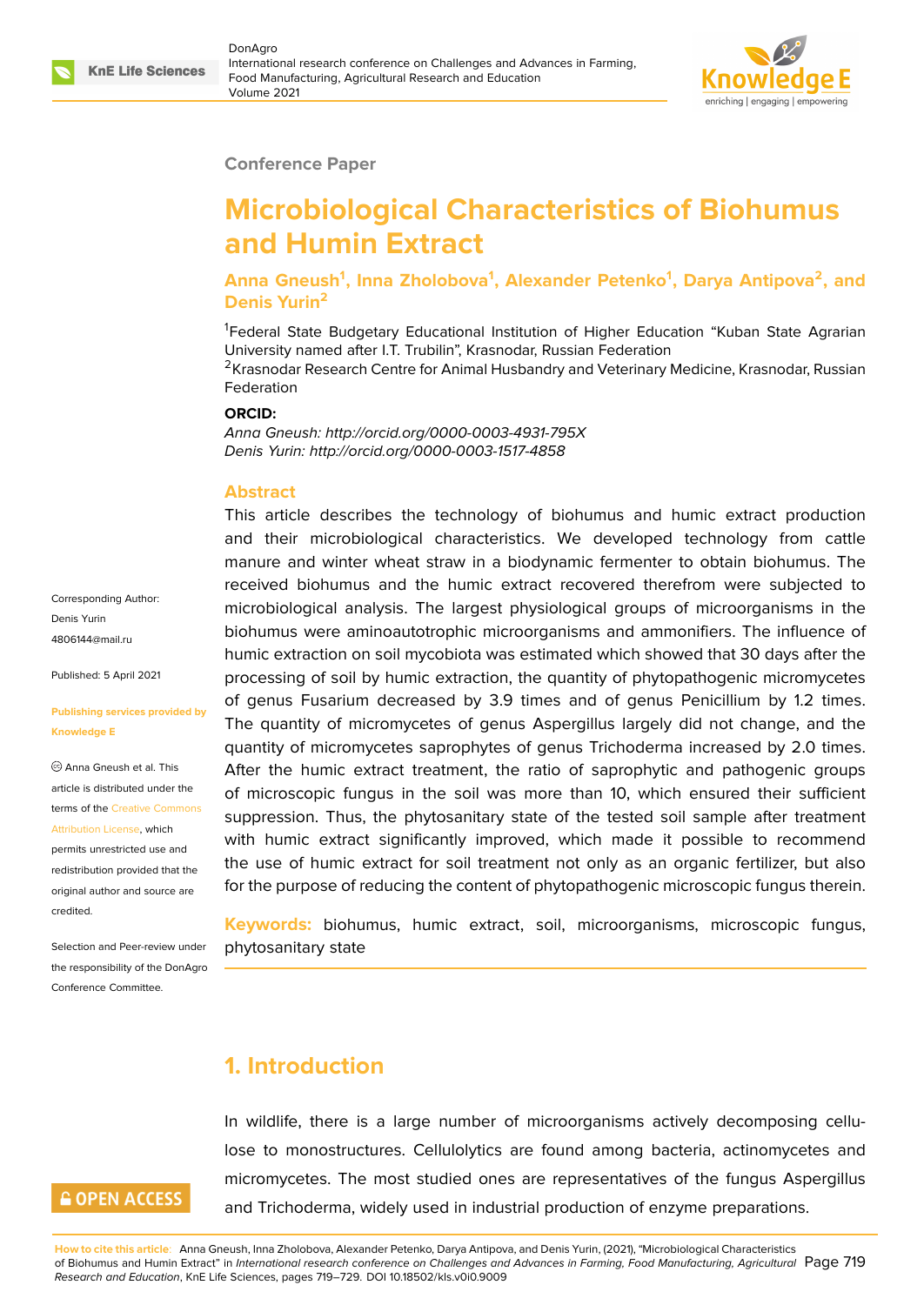

#### **Conference Paper**

# **Microbiological Characteristics of Biohumus and Humin Extract**

**Anna Gneush<sup>1</sup> , Inna Zholobova<sup>1</sup> , Alexander Petenko<sup>1</sup> , Darya Antipova<sup>2</sup> , and Denis Yurin<sup>2</sup>**

<sup>1</sup>Federal State Budgetary Educational Institution of Higher Education "Kuban State Agrarian University named after I.T. Trubilin", Krasnodar, Russian Federation

<sup>2</sup>Krasnodar Research Centre for Animal Husbandry and Veterinary Medicine, Krasnodar, Russian Federation

#### **ORCID:**

*Anna Gneush: http://orcid.org/0000-0003-4931-795X Denis Yurin: http://orcid.org/0000-0003-1517-4858*

#### **Abstract**

This article describes the technology of biohumus and humic extract production and their microbiological characteristics. We developed technology from cattle manure and winter wheat straw in a biodynamic fermenter to obtain biohumus. The received biohumus and the humic extract recovered therefrom were subjected to microbiological analysis. The largest physiological groups of microorganisms in the biohumus were aminoautotrophic microorganisms and ammonifiers. The influence of humic extraction on soil mycobiota was estimated which showed that 30 days after the processing of soil by humic extraction, the quantity of phytopathogenic micromycetes of genus Fusarium decreased by 3.9 times and of genus Penicillium by 1.2 times. The quantity of micromycetes of genus Aspergillus largely did not change, and the quantity of micromycetes saprophytes of genus Trichoderma increased by 2.0 times. After the humic extract treatment, the ratio of saprophytic and pathogenic groups of microscopic fungus in the soil was more than 10, which ensured their sufficient suppression. Thus, the phytosanitary state of the tested soil sample after treatment with humic extract significantly improved, which made it possible to recommend the use of humic extract for soil treatment not only as an organic fertilizer, but also for the purpose of reducing the content of phytopathogenic microscopic fungus therein.

**Keywords:** biohumus, humic extract, soil, microorganisms, microscopic fungus, phytosanitary state

### **1. Introduction**

In wildlife, there is a large number of microorganisms actively decomposing cellulose to monostructures. Cellulolytics are found among bacteria, actinomycetes and micromycetes. The most studied ones are representatives of the fungus Aspergillus and Trichoderma, widely used in industrial production of enzyme preparations.

**How to cite this article**: Anna Gneush, Inna Zholobova, Alexander Petenko, Darya Antipova, and Denis Yurin, (2021), "Microbiological Characteristics of Biohumus and Humin Extract" in *International research conference on Challenges and Advances in Farming, Food Manufacturing, Agricultural* Page 719 *Research and Education*, KnE Life Sciences, pages 719–729. DOI 10.18502/kls.v0i0.9009

Corresponding Author: Denis Yurin 4806144@mail.ru

Published: 5 April 2021

#### **[Publishing servic](mailto:4806144@mail.ru)es provided by Knowledge E**

Anna Gneush et al. This article is distributed under the terms of the Creative Commons Attribution License, which

permits unrestricted use and redistribution provided that the original auth[or and source are](https://creativecommons.org/licenses/by/4.0/) [credited.](https://creativecommons.org/licenses/by/4.0/)

Selection and Peer-review under the responsibility of the DonAgro Conference Committee.

## **GOPEN ACCESS**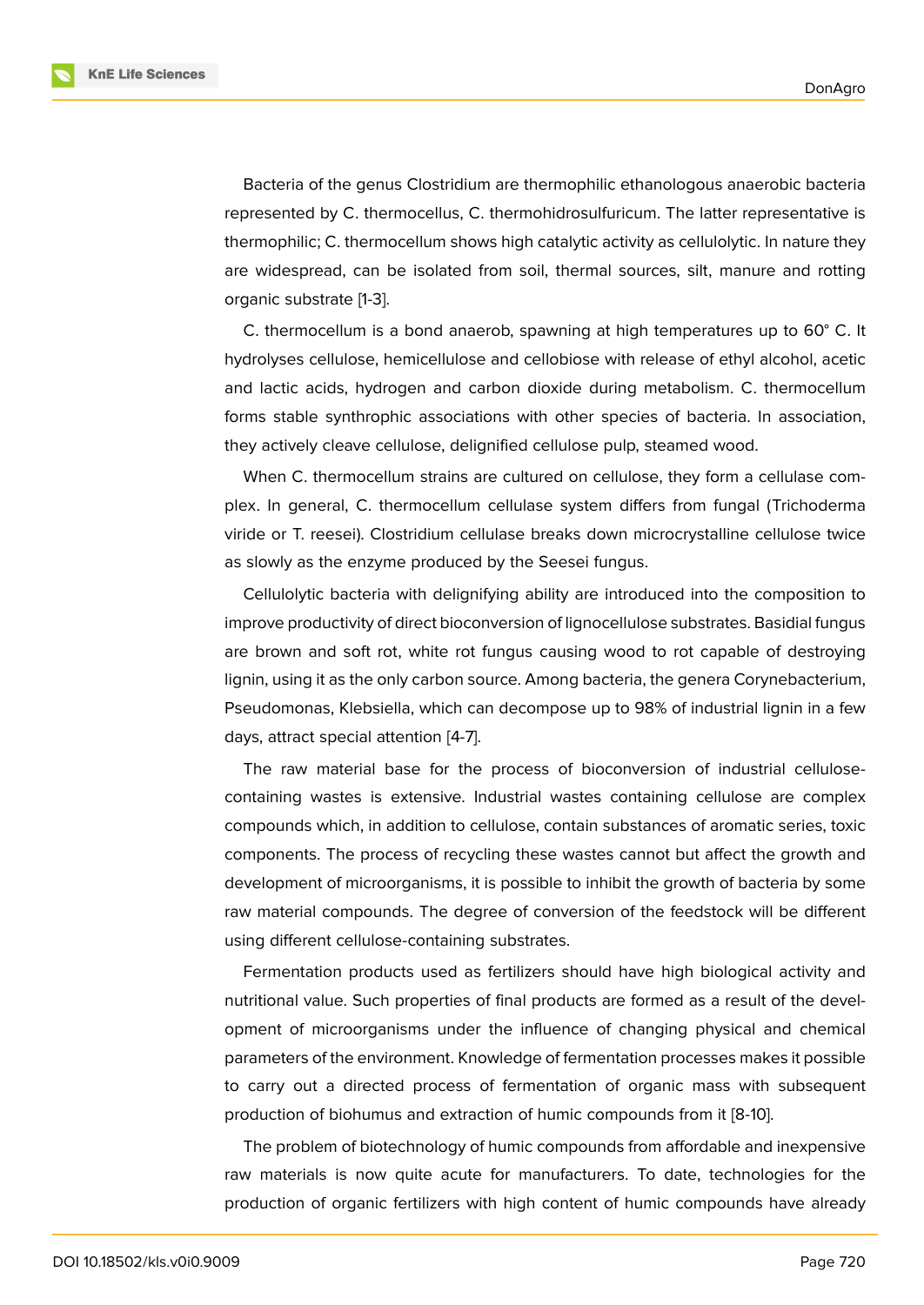Bacteria of the genus Clostridium are thermophilic ethanologous anaerobic bacteria represented by C. thermocellus, C. thermohidrosulfuricum. The latter representative is thermophilic; C. thermocellum shows high catalytic activity as cellulolytic. In nature they are widespread, can be isolated from soil, thermal sources, silt, manure and rotting organic substrate [1-3].

C. thermocellum is a bond anaerob, spawning at high temperatures up to 60° C. It hydrolyses cellulose, hemicellulose and cellobiose with release of ethyl alcohol, acetic and lactic acids, hydrogen and carbon dioxide during metabolism. C. thermocellum forms stable synthrophic associations with other species of bacteria. In association, they actively cleave cellulose, delignified cellulose pulp, steamed wood.

When C. thermocellum strains are cultured on cellulose, they form a cellulase complex. In general, C. thermocellum cellulase system differs from fungal (Trichoderma viride or T. reesei). Clostridium cellulase breaks down microcrystalline cellulose twice as slowly as the enzyme produced by the Seesei fungus.

Cellulolytic bacteria with delignifying ability are introduced into the composition to improve productivity of direct bioconversion of lignocellulose substrates. Basidial fungus are brown and soft rot, white rot fungus causing wood to rot capable of destroying lignin, using it as the only carbon source. Among bacteria, the genera Corynebacterium, Pseudomonas, Klebsiella, which can decompose up to 98% of industrial lignin in a few days, attract special attention [4-7].

The raw material base for the process of bioconversion of industrial cellulosecontaining wastes is extensive. Industrial wastes containing cellulose are complex compounds which, in addition to cellulose, contain substances of aromatic series, toxic components. The process of recycling these wastes cannot but affect the growth and development of microorganisms, it is possible to inhibit the growth of bacteria by some raw material compounds. The degree of conversion of the feedstock will be different using different cellulose-containing substrates.

Fermentation products used as fertilizers should have high biological activity and nutritional value. Such properties of final products are formed as a result of the development of microorganisms under the influence of changing physical and chemical parameters of the environment. Knowledge of fermentation processes makes it possible to carry out a directed process of fermentation of organic mass with subsequent production of biohumus and extraction of humic compounds from it [8-10].

The problem of biotechnology of humic compounds from affordable and inexpensive raw materials is now quite acute for manufacturers. To date, technologies for the production of organic fertilizers with high content of humic compounds have already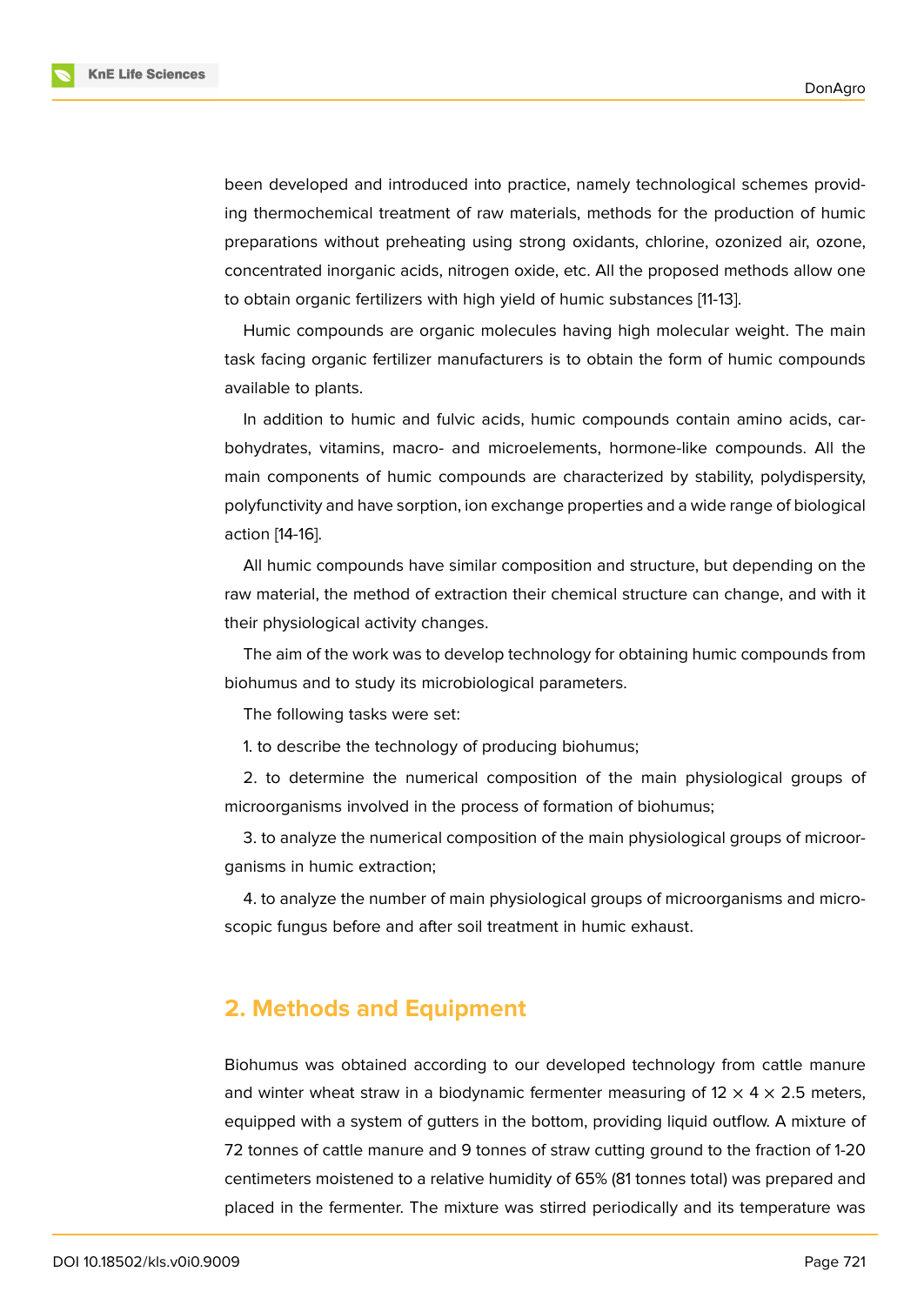been developed and introduced into practice, namely technological schemes providing thermochemical treatment of raw materials, methods for the production of humic preparations without preheating using strong oxidants, chlorine, ozonized air, ozone, concentrated inorganic acids, nitrogen oxide, etc. All the proposed methods allow one to obtain organic fertilizers with high yield of humic substances [11-13].

Humic compounds are organic molecules having high molecular weight. The main task facing organic fertilizer manufacturers is to obtain the form of humic compounds available to plants.

In addition to humic and fulvic acids, humic compounds contain amino acids, carbohydrates, vitamins, macro- and microelements, hormone-like compounds. All the main components of humic compounds are characterized by stability, polydispersity, polyfunctivity and have sorption, ion exchange properties and a wide range of biological action [14-16].

All humic compounds have similar composition and structure, but depending on the raw material, the method of extraction their chemical structure can change, and with it their physiological activity changes.

The aim of the work was to develop technology for obtaining humic compounds from biohumus and to study its microbiological parameters.

The following tasks were set:

1. to describe the technology of producing biohumus;

2. to determine the numerical composition of the main physiological groups of microorganisms involved in the process of formation of biohumus;

3. to analyze the numerical composition of the main physiological groups of microorganisms in humic extraction;

4. to analyze the number of main physiological groups of microorganisms and microscopic fungus before and after soil treatment in humic exhaust.

### **2. Methods and Equipment**

Biohumus was obtained according to our developed technology from cattle manure and winter wheat straw in a biodynamic fermenter measuring of  $12 \times 4 \times 2.5$  meters, equipped with a system of gutters in the bottom, providing liquid outflow. A mixture of 72 tonnes of cattle manure and 9 tonnes of straw cutting ground to the fraction of 1-20 centimeters moistened to a relative humidity of 65% (81 tonnes total) was prepared and placed in the fermenter. The mixture was stirred periodically and its temperature was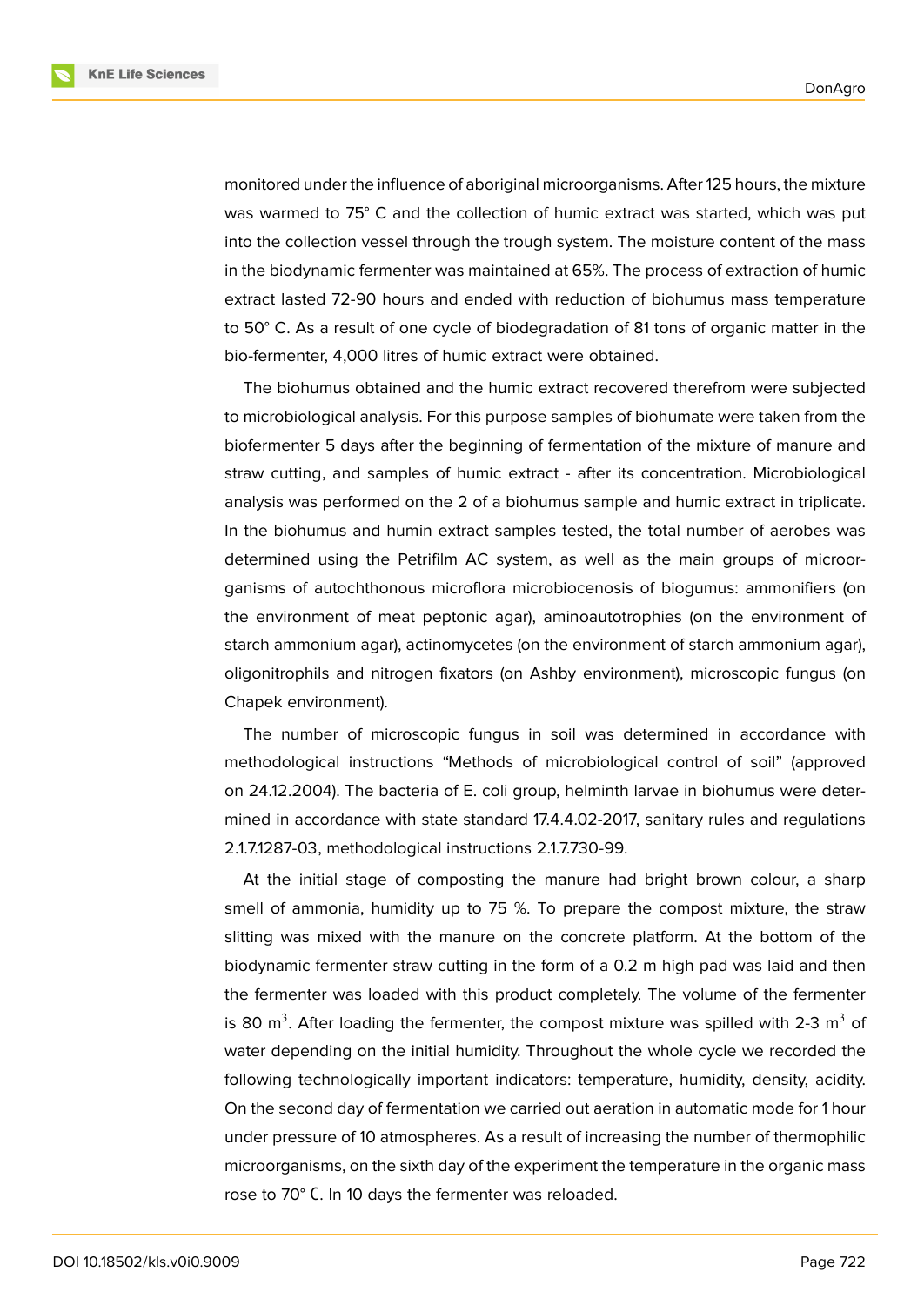

monitored under the influence of aboriginal microorganisms. After 125 hours, the mixture was warmed to 75° C and the collection of humic extract was started, which was put into the collection vessel through the trough system. The moisture content of the mass in the biodynamic fermenter was maintained at 65%. The process of extraction of humic extract lasted 72-90 hours and ended with reduction of biohumus mass temperature to 50° C. As a result of one cycle of biodegradation of 81 tons of organic matter in the bio-fermenter, 4,000 litres of humic extract were obtained.

The biohumus obtained and the humic extract recovered therefrom were subjected to microbiological analysis. For this purpose samples of biohumate were taken from the biofermenter 5 days after the beginning of fermentation of the mixture of manure and straw cutting, and samples of humic extract - after its concentration. Microbiological analysis was performed on the 2 of a biohumus sample and humic extract in triplicate. In the biohumus and humin extract samples tested, the total number of aerobes was determined using the Petrifilm AC system, as well as the main groups of microorganisms of autochthonous microflora microbiocenosis of biogumus: ammonifiers (on the environment of meat peptonic agar), aminoautotrophies (on the environment of starch ammonium agar), actinomycetes (on the environment of starch ammonium agar), oligonitrophils and nitrogen fixators (on Ashby environment), microscopic fungus (on Chapek environment).

The number of microscopic fungus in soil was determined in accordance with methodological instructions "Methods of microbiological control of soil" (approved on 24.12.2004). The bacteria of E. coli group, helminth larvae in biohumus were determined in accordance with state standard 17.4.4.02-2017, sanitary rules and regulations 2.1.7.1287-03, methodological instructions 2.1.7.730-99.

At the initial stage of composting the manure had bright brown colour, a sharp smell of ammonia, humidity up to 75 %. To prepare the compost mixture, the straw slitting was mixed with the manure on the concrete platform. At the bottom of the biodynamic fermenter straw cutting in the form of a 0.2 m high pad was laid and then the fermenter was loaded with this product completely. The volume of the fermenter is 80 m<sup>3</sup>. After loading the fermenter, the compost mixture was spilled with 2-3 m<sup>3</sup> of water depending on the initial humidity. Throughout the whole cycle we recorded the following technologically important indicators: temperature, humidity, density, acidity. On the second day of fermentation we carried out aeration in automatic mode for 1 hour under pressure of 10 atmospheres. As a result of increasing the number of thermophilic microorganisms, on the sixth day of the experiment the temperature in the organic mass rose to 70° С. In 10 days the fermenter was reloaded.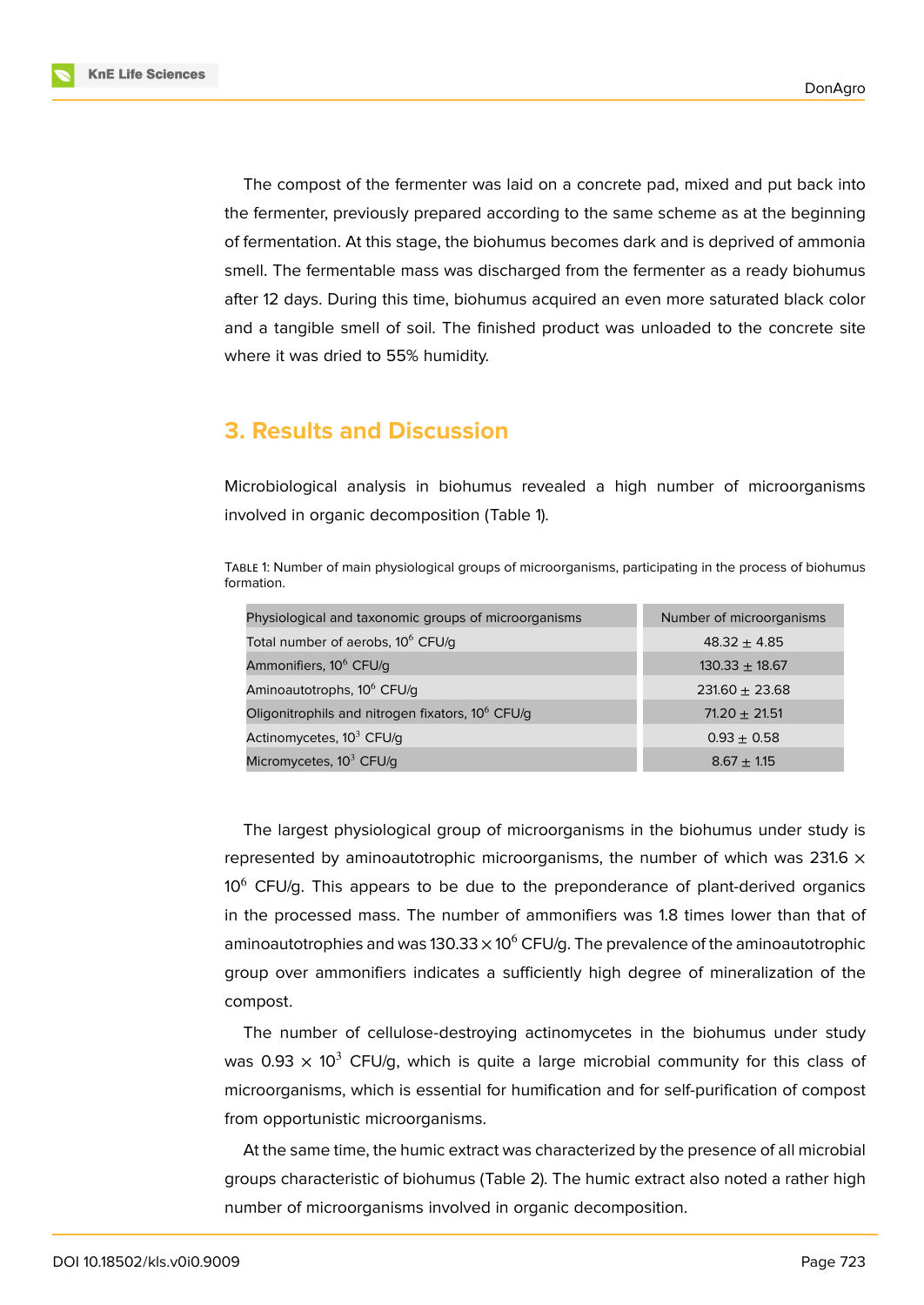The compost of the fermenter was laid on a concrete pad, mixed and put back into the fermenter, previously prepared according to the same scheme as at the beginning of fermentation. At this stage, the biohumus becomes dark and is deprived of ammonia smell. The fermentable mass was discharged from the fermenter as a ready biohumus after 12 days. During this time, biohumus acquired an even more saturated black color and a tangible smell of soil. The finished product was unloaded to the concrete site where it was dried to 55% humidity.

# **3. Results and Discussion**

Microbiological analysis in biohumus revealed a high number of microorganisms involved in organic decomposition (Table 1).

TABLE 1: Number of main physiological groups of microorganisms, participating in the process of biohumus formation.

| Physiological and taxonomic groups of microorganisms         | Number of microorganisms |
|--------------------------------------------------------------|--------------------------|
| Total number of aerobs, 10 <sup>6</sup> CFU/q                | $48.32 + 4.85$           |
| Ammonifiers, 10 <sup>6</sup> CFU/g                           | $130.33 \pm 18.67$       |
| Aminoautotrophs, 10 <sup>6</sup> CFU/g                       | $231.60 \pm 23.68$       |
| Oligonitrophils and nitrogen fixators, 10 <sup>6</sup> CFU/g | $71.20 + 21.51$          |
| Actinomycetes, 10 <sup>3</sup> CFU/g                         | $0.93 \pm 0.58$          |
| Micromycetes, $10^3$ CFU/g                                   | $8.67 \pm 1.15$          |

The largest physiological group of microorganisms in the biohumus under study is represented by aminoautotrophic microorganisms, the number of which was 231.6  $\times$  $10<sup>6</sup>$  CFU/g. This appears to be due to the preponderance of plant-derived organics in the processed mass. The number of ammonifiers was 1.8 times lower than that of aminoautotrophies and was 130.33  $\times$  10<sup>6</sup> CFU/g. The prevalence of the aminoautotrophic group over ammonifiers indicates a sufficiently high degree of mineralization of the compost.

The number of cellulose-destroying actinomycetes in the biohumus under study was 0.93  $\times$  10<sup>3</sup> CFU/g, which is quite a large microbial community for this class of microorganisms, which is essential for humification and for self-purification of compost from opportunistic microorganisms.

At the same time, the humic extract was characterized by the presence of all microbial groups characteristic of biohumus (Table 2). The humic extract also noted a rather high number of microorganisms involved in organic decomposition.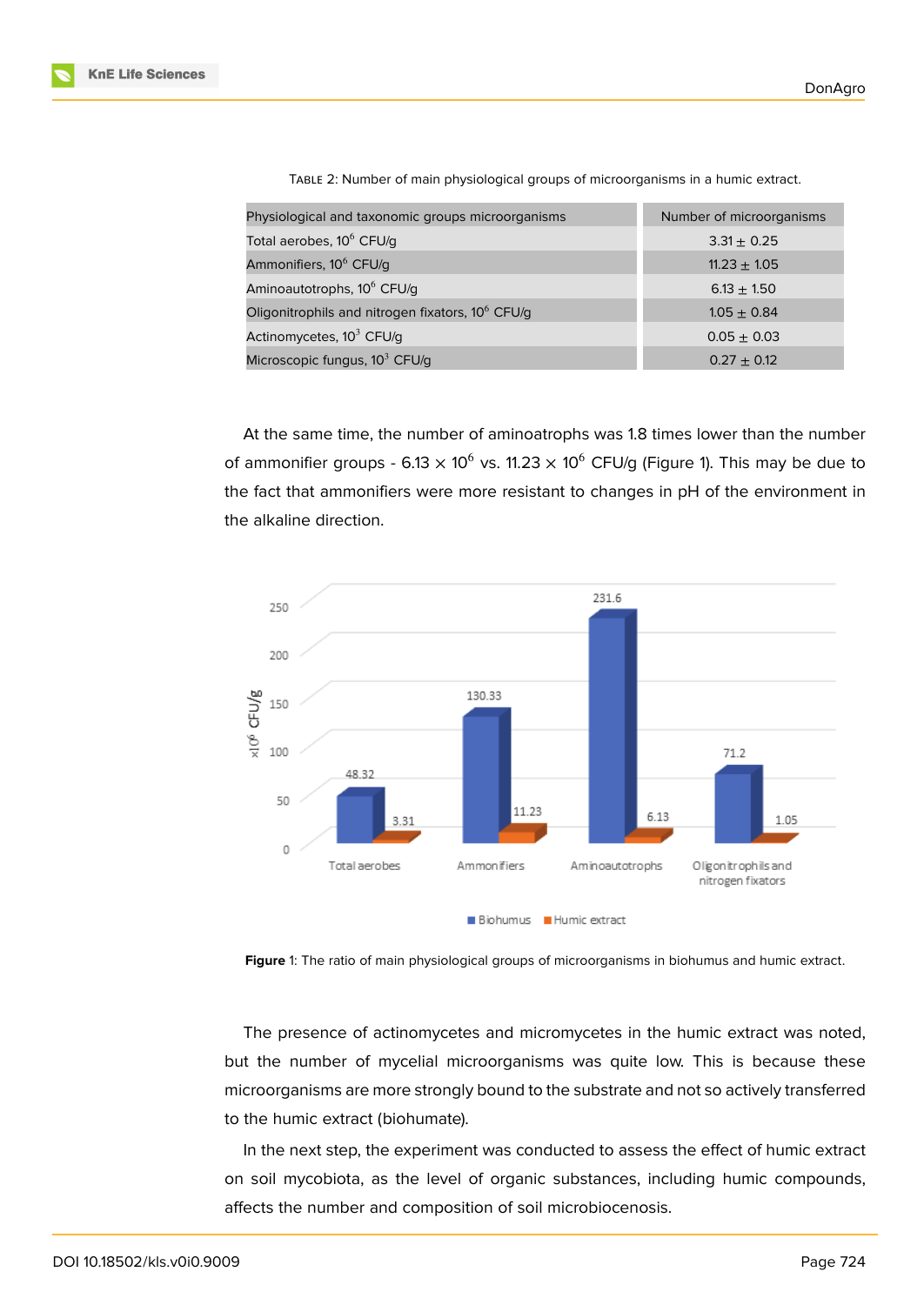| Physiological and taxonomic groups microorganisms            | Number of microorganisms |
|--------------------------------------------------------------|--------------------------|
| Total aerobes, 10 <sup>6</sup> CFU/g                         | $3.31 \pm 0.25$          |
| Ammonifiers, 10 <sup>6</sup> CFU/g                           | $11.23 \pm 1.05$         |
| Aminoautotrophs, 10 <sup>6</sup> CFU/g                       | $6.13 + 1.50$            |
| Oligonitrophils and nitrogen fixators, 10 <sup>6</sup> CFU/g | $1.05 + 0.84$            |
| Actinomycetes, $10^3$ CFU/g                                  | $0.05 + 0.03$            |
| Microscopic fungus, $10^3$ CFU/g                             | $0.27 \pm 0.12$          |

TABLE 2: Number of main physiological groups of microorganisms in a humic extract.

At the same time, the number of aminoatrophs was 1.8 times lower than the number of ammonifier groups - 6.13  $\times$  10<sup>6</sup> vs. 11.23  $\times$  10<sup>6</sup> CFU/g (Figure 1). This may be due to the fact that ammonifiers were more resistant to changes in pH of the environment in the alkaline direction.



**Figure** 1: The ratio of main physiological groups of microorganisms in biohumus and humic extract.

The presence of actinomycetes and micromycetes in the humic extract was noted, but the number of mycelial microorganisms was quite low. This is because these microorganisms are more strongly bound to the substrate and not so actively transferred to the humic extract (biohumate).

In the next step, the experiment was conducted to assess the effect of humic extract on soil mycobiota, as the level of organic substances, including humic compounds, affects the number and composition of soil microbiocenosis.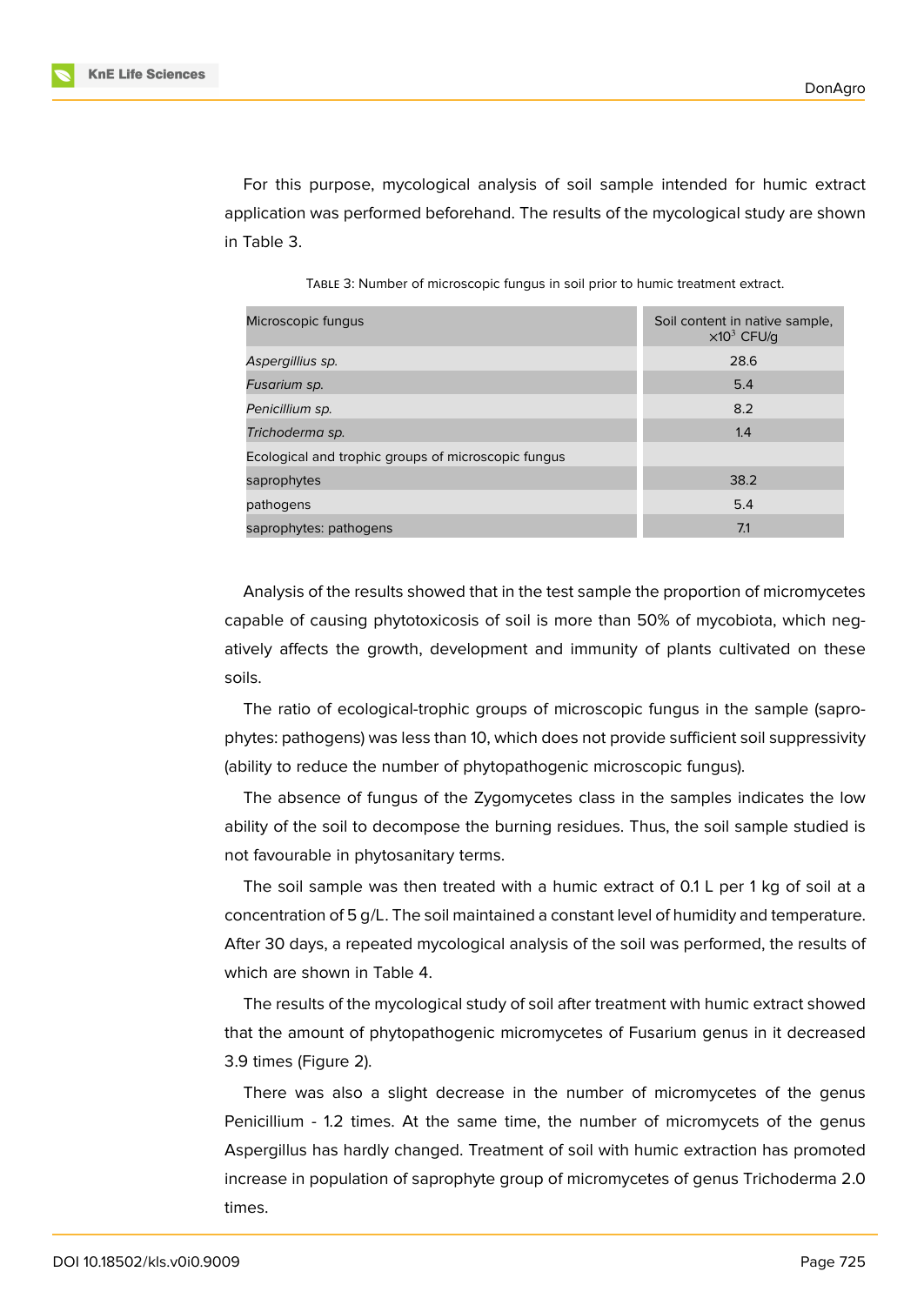For this purpose, mycological analysis of soil sample intended for humic extract application was performed beforehand. The results of the mycological study are shown in Table 3.

TABLE 3: Number of microscopic fungus in soil prior to humic treatment extract.

| Microscopic fungus                                  | Soil content in native sample,<br>$\times 10^3$ CFU/g |
|-----------------------------------------------------|-------------------------------------------------------|
| Aspergillius sp.                                    | 28.6                                                  |
| Fusarium sp.                                        | 5.4                                                   |
| Penicillium sp.                                     | 8.2                                                   |
| Trichoderma sp.                                     | 1.4                                                   |
| Ecological and trophic groups of microscopic fungus |                                                       |
| saprophytes                                         | 38.2                                                  |
| pathogens                                           | 5.4                                                   |
| saprophytes: pathogens                              | 7.1                                                   |

Analysis of the results showed that in the test sample the proportion of micromycetes capable of causing phytotoxicosis of soil is more than 50% of mycobiota, which negatively affects the growth, development and immunity of plants cultivated on these soils.

The ratio of ecological-trophic groups of microscopic fungus in the sample (saprophytes: pathogens) was less than 10, which does not provide sufficient soil suppressivity (ability to reduce the number of phytopathogenic microscopic fungus).

The absence of fungus of the Zygomycetes class in the samples indicates the low ability of the soil to decompose the burning residues. Thus, the soil sample studied is not favourable in phytosanitary terms.

The soil sample was then treated with a humic extract of 0.1 L per 1 kg of soil at a concentration of 5 g/L. The soil maintained a constant level of humidity and temperature. After 30 days, a repeated mycological analysis of the soil was performed, the results of which are shown in Table 4.

The results of the mycological study of soil after treatment with humic extract showed that the amount of phytopathogenic micromycetes of Fusarium genus in it decreased 3.9 times (Figure 2).

There was also a slight decrease in the number of micromycetes of the genus Penicillium - 1.2 times. At the same time, the number of micromycets of the genus Aspergillus has h[ar](#page-7-0)dly changed. Treatment of soil with humic extraction has promoted increase in population of saprophyte group of micromycetes of genus Trichoderma 2.0 times.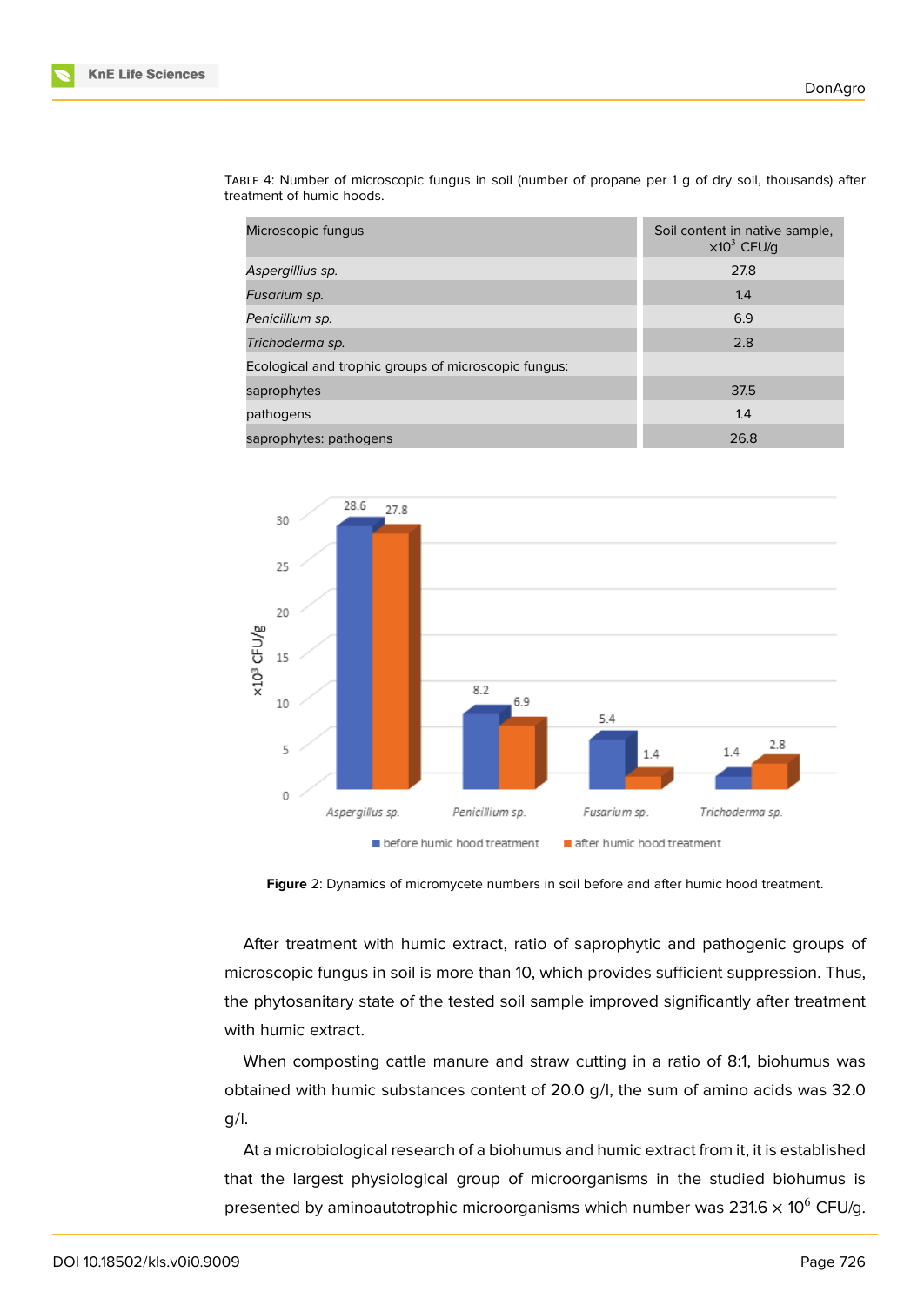

| Microscopic fungus                                   | Soil content in native sample,<br>$\times 10^3$ CFU/q |
|------------------------------------------------------|-------------------------------------------------------|
| Aspergillius sp.                                     | 27.8                                                  |
| Fusarium sp.                                         | 1.4                                                   |
| Penicillium sp.                                      | 6.9                                                   |
| Trichoderma sp.                                      | 2.8                                                   |
| Ecological and trophic groups of microscopic fungus: |                                                       |
| saprophytes                                          | 37.5                                                  |
| pathogens                                            | 1.4                                                   |
| saprophytes: pathogens                               | 26.8                                                  |

TABLE 4: Number of microscopic fungus in soil (number of propane per 1 g of dry soil, thousands) after treatment of humic hoods.



<span id="page-7-0"></span>**Figure** 2: Dynamics of micromycete numbers in soil before and after humic hood treatment.

After treatment with humic extract, ratio of saprophytic and pathogenic groups of microscopic fungus in soil is more than 10, which provides sufficient suppression. Thus, the phytosanitary state of the tested soil sample improved significantly after treatment with humic extract.

When composting cattle manure and straw cutting in a ratio of 8:1, biohumus was obtained with humic substances content of 20.0 g/l, the sum of amino acids was 32.0 g/l.

At a microbiological research of a biohumus and humic extract from it, it is established that the largest physiological group of microorganisms in the studied biohumus is presented by aminoautotrophic microorganisms which number was 231.6  $\times$  10<sup>6</sup> CFU/g.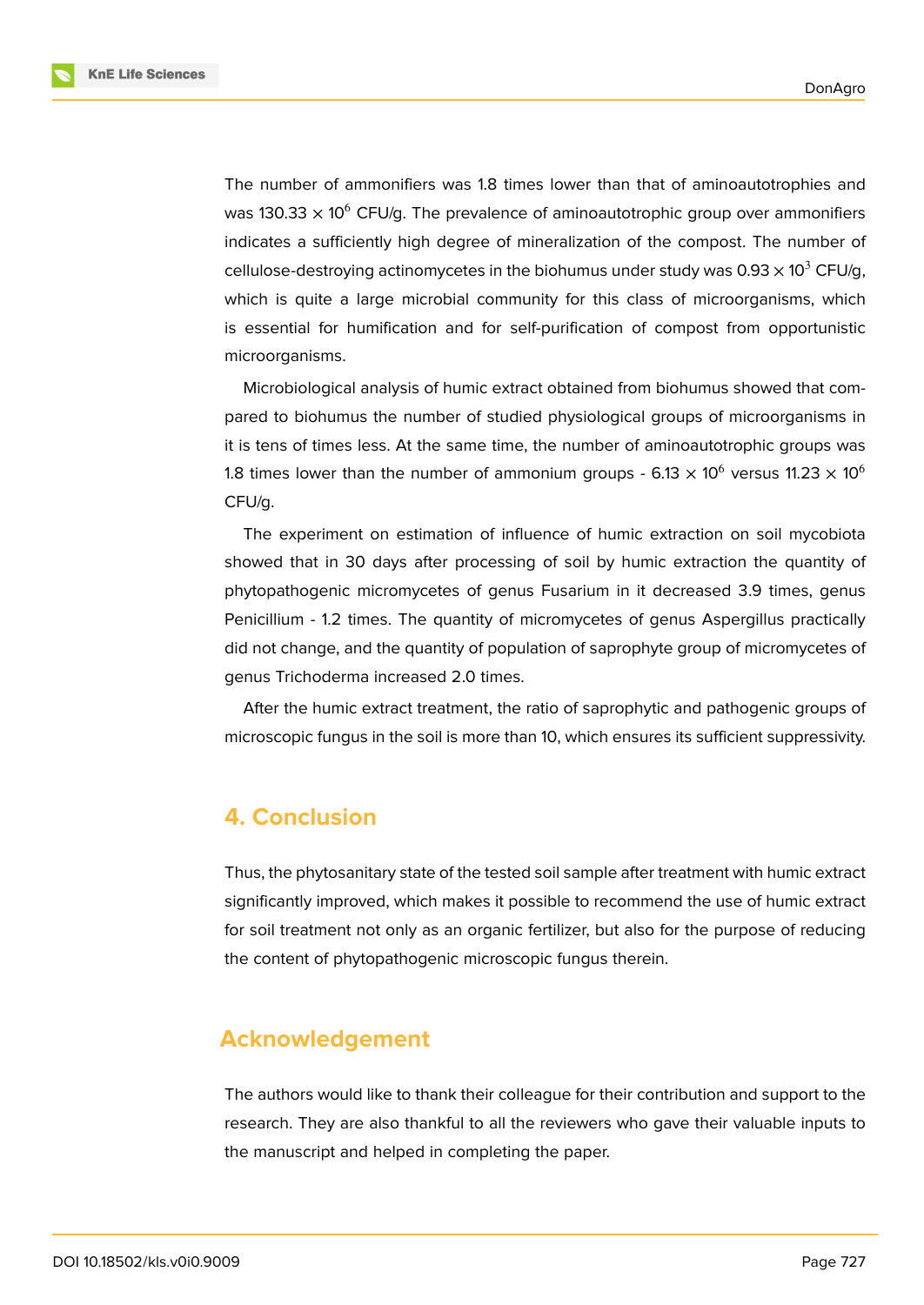The number of ammonifiers was 1.8 times lower than that of aminoautotrophies and was 130.33  $\times$  10<sup>6</sup> CFU/g. The prevalence of aminoautotrophic group over ammonifiers indicates a sufficiently high degree of mineralization of the compost. The number of cellulose-destroying actinomycetes in the biohumus under study was  $0.93 \times 10^3$  CFU/g, which is quite a large microbial community for this class of microorganisms, which is essential for humification and for self-purification of compost from opportunistic microorganisms.

Microbiological analysis of humic extract obtained from biohumus showed that compared to biohumus the number of studied physiological groups of microorganisms in it is tens of times less. At the same time, the number of aminoautotrophic groups was 1.8 times lower than the number of ammonium groups - 6.13  $\times$  10 $^6$  versus 11.23  $\times$  10 $^6$ CFU/g.

The experiment on estimation of influence of humic extraction on soil mycobiota showed that in 30 days after processing of soil by humic extraction the quantity of phytopathogenic micromycetes of genus Fusarium in it decreased 3.9 times, genus Penicillium - 1.2 times. The quantity of micromycetes of genus Aspergillus practically did not change, and the quantity of population of saprophyte group of micromycetes of genus Trichoderma increased 2.0 times.

After the humic extract treatment, the ratio of saprophytic and pathogenic groups of microscopic fungus in the soil is more than 10, which ensures its sufficient suppressivity.

# **4. Conclusion**

Thus, the phytosanitary state of the tested soil sample after treatment with humic extract significantly improved, which makes it possible to recommend the use of humic extract for soil treatment not only as an organic fertilizer, but also for the purpose of reducing the content of phytopathogenic microscopic fungus therein.

### **Acknowledgement**

The authors would like to thank their colleague for their contribution and support to the research. They are also thankful to all the reviewers who gave their valuable inputs to the manuscript and helped in completing the paper.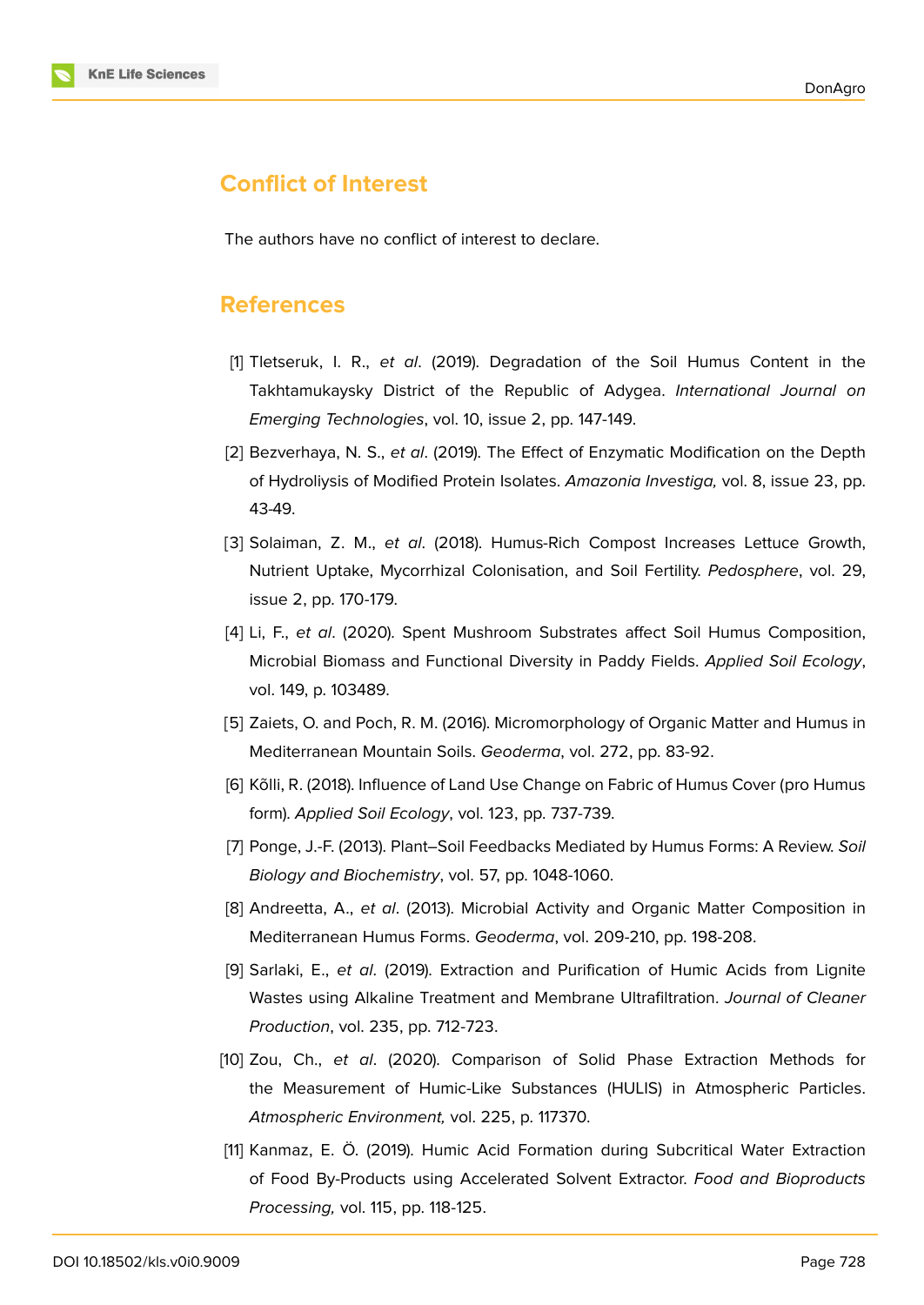

# **Conflict of Interest**

The authors have no conflict of interest to declare.

### **References**

- [1] Tletseruk, I. R., *et al*. (2019). Degradation of the Soil Humus Content in the Takhtamukaysky District of the Republic of Adygea. *International Journal on Emerging Technologies*, vol. 10, issue 2, pp. 147-149.
- [2] Bezverhaya, N. S., *et al*. (2019). The Effect of Enzymatic Modification on the Depth of Hydroliysis of Modified Protein Isolates. *Amazonia Investiga,* vol. 8, issue 23, pp. 43-49.
- [3] Solaiman, Z. M., *et al*. (2018). Humus-Rich Compost Increases Lettuce Growth, Nutrient Uptake, Mycorrhizal Colonisation, and Soil Fertility. *Pedosphere*, vol. 29, issue 2, pp. 170-179.
- [4] Li, F., *et al*. (2020). Spent Mushroom Substrates affect Soil Humus Composition, Microbial Biomass and Functional Diversity in Paddy Fields. *Applied Soil Ecology*, vol. 149, p. 103489.
- [5] Zaiets, O. and Poch, R. M. (2016). Micromorphology of Organic Matter and Humus in Mediterranean Mountain Soils. *Geoderma*, vol. 272, pp. 83-92.
- [6] Kõlli, R. (2018). Influence of Land Use Change on Fabric of Humus Cover (pro Humus form). *Applied Soil Ecology*, vol. 123, pp. 737-739.
- [7] Ponge, J.-F. (2013). Plant–Soil Feedbacks Mediated by Humus Forms: A Review. *Soil Biology and Biochemistry*, vol. 57, pp. 1048-1060.
- [8] Andreetta, A., *et al*. (2013). Microbial Activity and Organic Matter Composition in Mediterranean Humus Forms. *Geoderma*, vol. 209-210, pp. 198-208.
- [9] Sarlaki, E., *et al*. (2019). Extraction and Purification of Humic Acids from Lignite Wastes using Alkaline Treatment and Membrane Ultrafiltration. *Journal of Cleaner Production*, vol. 235, pp. 712-723.
- [10] Zou, Ch., *et al*. (2020). Comparison of Solid Phase Extraction Methods for the Measurement of Humic-Like Substances (HULIS) in Atmospheric Particles. *Atmospheric Environment,* vol. 225, p. 117370.
- [11] Kanmaz, E. Ö. (2019). Humic Acid Formation during Subcritical Water Extraction of Food By-Products using Accelerated Solvent Extractor. *Food and Bioproducts Processing,* vol. 115, pp. 118-125.